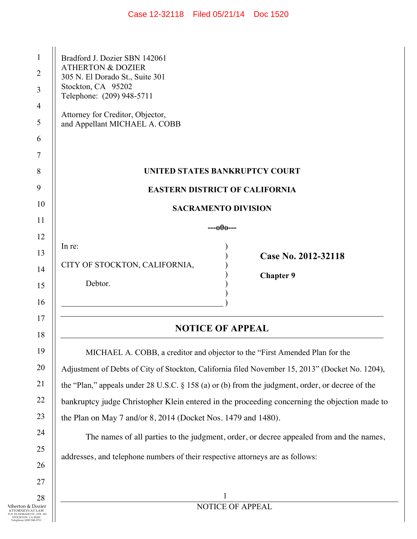| Case 12-32118 | Filed 05/21/14 | Doc 1520 |
|---------------|----------------|----------|
|---------------|----------------|----------|

| $\mathbf{1}$<br>$\overline{2}$<br>3<br>$\overline{4}$<br>5<br>6<br>7 | Bradford J. Dozier SBN 142061<br><b>ATHERTON &amp; DOZIER</b><br>305 N. El Dorado St., Suite 301<br>Stockton, CA 95202<br>Telephone: (209) 948-5711<br>Attorney for Creditor, Objector,<br>and Appellant MICHAEL A. COBB                                                                                                                                                                                                                                                                                                                                                                                                         |  |
|----------------------------------------------------------------------|----------------------------------------------------------------------------------------------------------------------------------------------------------------------------------------------------------------------------------------------------------------------------------------------------------------------------------------------------------------------------------------------------------------------------------------------------------------------------------------------------------------------------------------------------------------------------------------------------------------------------------|--|
| 8                                                                    | UNITED STATES BANKRUPTCY COURT                                                                                                                                                                                                                                                                                                                                                                                                                                                                                                                                                                                                   |  |
| 9                                                                    | <b>EASTERN DISTRICT OF CALIFORNIA</b>                                                                                                                                                                                                                                                                                                                                                                                                                                                                                                                                                                                            |  |
| 10                                                                   | <b>SACRAMENTO DIVISION</b>                                                                                                                                                                                                                                                                                                                                                                                                                                                                                                                                                                                                       |  |
| 11                                                                   | ---000---                                                                                                                                                                                                                                                                                                                                                                                                                                                                                                                                                                                                                        |  |
| 12<br>13<br>14<br>15<br>16                                           | In re:<br>Case No. 2012-32118<br>CITY OF STOCKTON, CALIFORNIA,<br><b>Chapter 9</b><br>Debtor.                                                                                                                                                                                                                                                                                                                                                                                                                                                                                                                                    |  |
| 17<br>18                                                             | <b>NOTICE OF APPEAL</b>                                                                                                                                                                                                                                                                                                                                                                                                                                                                                                                                                                                                          |  |
| 19<br>20<br>21<br>22<br>23<br>24<br>25<br>26                         | MICHAEL A. COBB, a creditor and objector to the "First Amended Plan for the<br>Adjustment of Debts of City of Stockton, California filed November 15, 2013" (Docket No. 1204),<br>the "Plan," appeals under 28 U.S.C. § 158 (a) or (b) from the judgment, order, or decree of the<br>bankruptcy judge Christopher Klein entered in the proceeding concerning the objection made to<br>the Plan on May 7 and/or 8, 2014 (Docket Nos. 1479 and 1480).<br>The names of all parties to the judgment, order, or decree appealed from and the names,<br>addresses, and telephone numbers of their respective attorneys are as follows: |  |
| 27<br>28<br>ozier                                                    | NOTICE OF APPEAL                                                                                                                                                                                                                                                                                                                                                                                                                                                                                                                                                                                                                 |  |

Atherton & Dozier<br>
5 N. EL DORADO ST., STE. 301<br>
5 STOCKTON CA 95202<br>
Telephone (209) 948-5711